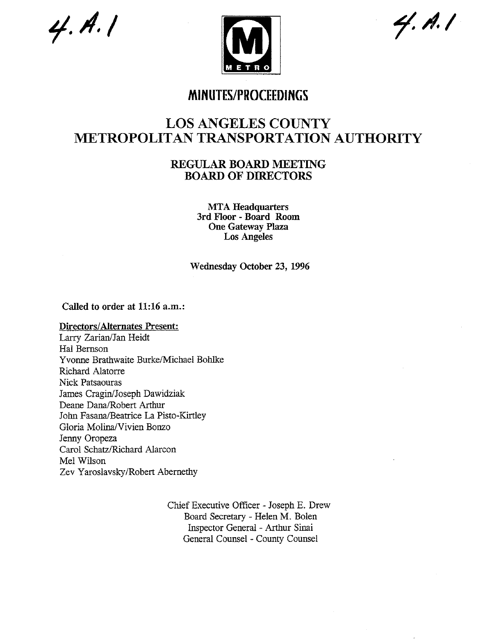$4. A. 1$ 



4. A. I

# **MINUTES/PROCEEDINGS**

# **LOS ANGELES COUNTY METROPOLITAN TRANSPORTATION AUTHORITY**

# **REGULAR BOARD MEETING BOARD OF DIRECTORS**

**MTA Headquarters 3rd Floor - Board Room One Gateway Plaza Los Angeles**

Wednesday October 23, 1996

Called **to order at** 11:16 a.m.:

# **Directors/Alternates Present:**

Larry Zarian/Jan Heidt Hal Bemson Yvorme Brathwaite Burke/Michael Bohlke Richard Alatorre Nick Patsaouras James Cragin/Joseph Dawidziak Deane Dana/Robert Arthur John Fasana/Beatrice La Pisto-Kirtley Gloria Molina/Vivien Bonzo Jenny Oropeza Carol Schatz/Richard Alarcon Mel Wilson Zev Yaroslavsky/Robert Abernethy

> Chief Executive Officer - Joseph E. Drew Board Secretary - Helen M. Bolen Inspector General - Arthur Sinai General Counsel - County Counsel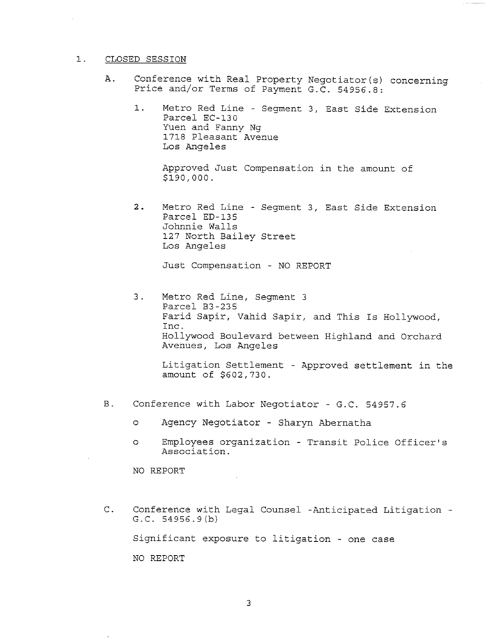## 1. CLOSED SESSION

- A. Conference with Real Property Negotiator(s) concerning Price and/or Terms of Payment G.C. 54956.8:
	- Metro Red Line Segment 3, East Side Extension  $1.$ Parcel EC-130 Yuen and Fanny Ng 1718 Pleasant Avenue Los Angeles

Approved Just Compensation in the amount of \$z9o,ooo.

2. Metro Red Line - Segment 3, East Side Extension Parcel ED-135 Johnnie Walls 127 North Bailey Street Los Angeles

Just Compensation - NO REPORT

3. Metro Red Line, Segment 3 Parcel B3-235 Farid Sapir, Vahid Sapir, and This Is Hollywood, Inc. Hollywood Boulevard between Highland and Orchard Avenues, Los Angeles

Litigation Settlement - Approved settlement in the amount of \$602,730.

- **B**. Conference with Labor Negotiator - G.C. 54957.6
	- o Agency Negotiator Sharyn Abernatha
	- o Employees organization Transit Police Officer's Association.

NO REPORT

C. Conference with Legal Counsel -Anticipated Litigation -G.C. 54956.9(b)

Significant exposure to litigation - one case

NO REPORT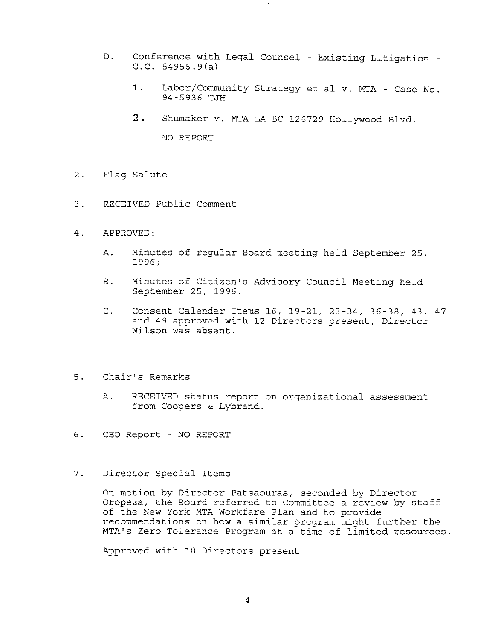- D. Conference with Legal Counsel Existing Litigation G.C. 54956.9(a)
	- $1.$ Labor/Community Strategy et al v. MTA - Case No. 94-5936 TJH
	- 2. Shumaker v. MTA LA BC 126729 Hollywood Blvd.

NO REPORT

- 2. Flag Salute
- 3. RECEIVED Public Comment
- 4. APPROVED:
	- A. Minutes of regular Board meeting held September 25, 1996;
	- B. Minutes of Citizen's Advisory Council Meeting held September 25, 1996.
	- C. Consent Calendar Items 16, 19-21, 23-34, 36-38, 43, 47 and 49 approved with 12 Directors present, Director Wilson was absent.
- 5. Chair's Remarks
	- A. RECEIVED status report on organizational assessment from Coopers & Lybrand.
- 6. CEO Report NO REPORT
- $7.$ Director Special Items

On motion by Director Patsaouras, seconded by Director Oropeza, the Board referred to Committee a review by staff of the New York MTA Workfare Plan and to provide recommendations on how a similar program might further the MTA's Zero Tolerance Program at a time of limited resources.

Approved with i0 Directors present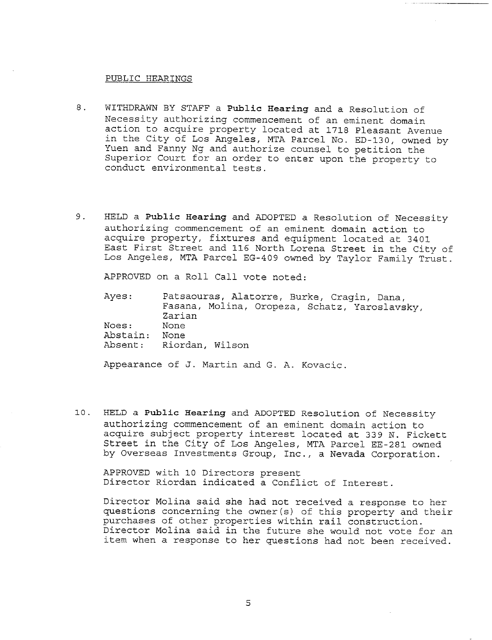#### PUBLIC HEARINGS

- 8. WITHDRAWN BY STAFF a Public Hearing and a Resolution of Necessity authorizing commencement of an eminent domain action to acquire property located at 1718 Pleasant Avenue in the City of Los Angeles, MTA Parcel No. ED-130, owned by Yuen and Fanny Ng and authorize counsel to petition the Superior Court for an order to enter upon the property to conduct environmental tests.
- 9. HELD a Public Hearing and ADOPTED a Resolution of Necessity authorizing commencement of an eminent domain action to acquire property, fixtures and equipment located at 3401 East First Street and 116 North Lorena Street in the City of Los Angeles, MTA Parcel EG-409 owned by Taylor Family Trust.

APPROVED on a Roll Call vote noted:

Ayes: Noes: Abstain: None Absent: Riordan, Wilso Patsaouras, Alatorre, Burke, Cragin, Dana, Fasana, Molina, Oropeza, Schatz, Yaroslavsky, Zarian None

Appearance of J. Martin and G. A. Kovacic.

I0. HELD a Public Hearing and ADOPTED Resolution of Necessity authorizing commencement of an eminent domain action to acquire subject property interest located at 339 N. Fickett Street in the City of Los Angeles, MTA Parcel EE-281 owned by Overseas Investments Group, Inc., a Nevada Corporation.

APPROVED with I0 Directors present Director Riordan indicated a Conflict of Interest.

Director Molina said she had not received a response to her questions concerning the owner(s) of this property and their purchases of other properties within rail construction. Director Molina said in the future she would not vote for an item when a response to her questions had not been received.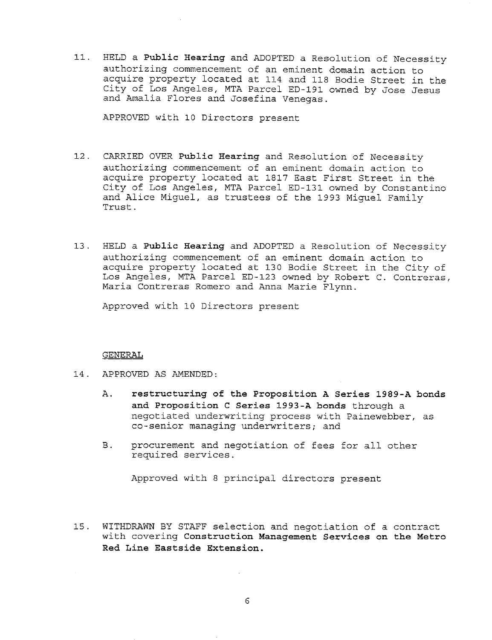11. HELD a Public Hearing and ADOPTED a Resolution of Necessity authorizing commencement of an eminent domain action to acquire property located at 114 and 118 Bodie Street in the City of Los Angeles, MTA Parcel ED-191 owned by Jose Jesus and Amalia Flores and Josefina Venegas.

APPROVED with i0 Directors present

- 12. CARRIED OVER Public **Hearing** and Resolution of Necessity authorizing commencement of an eminent domain action to acquire property located at 1817 East First Street in the City of Los Angeles, MTA Parcel ED-131 owned by Constantino and Alice Miguel, as trustees of the 1993 Miguel Family Trust.
- 13. HELD a Public **Hearing** and ADOPTED a Resolution of Necessity authorizing commencement of an eminent domain action to acquire property located at 130 Bodie Street in the City of Los Angeles, MTA Parcel ED-123 owned by Robert C. Contreras, Maria Contreras Romero and Anna Marie Flynn.

Approved with I0 Directors present

#### GENERAL

- 14. APPROVED AS AMENDED:
	- A. **restructuring of the Proposition A Series 1989-A bonds and Proposition C Series 1993-A bonds** through a negotiated underwriting process with Painewebber, as co-senior managing underwriters; and
	- **B**. procurement and negotiation of fees for all other required services.

Approved with 8 principal directors present

15. WITHDRAWN BY STAFF selection and negotiation of a contract with covering **Construction Management Services on the Metro Red Line Eastside Extension.**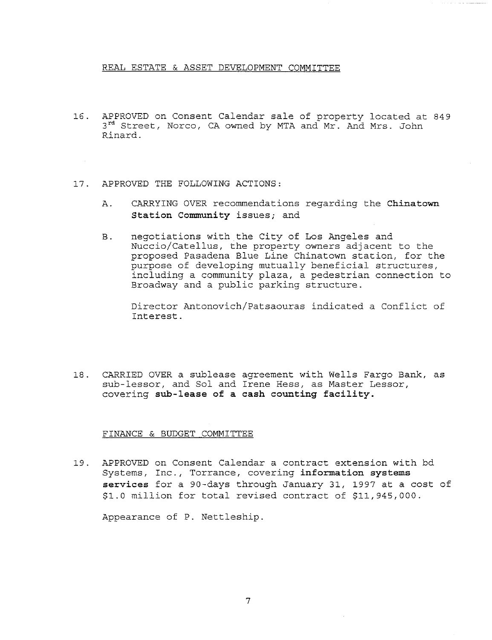## REAL ESTATE & ASSET DEVELOPMENT COMMITTEE

- 16. APPROVED on Consent Calendar sale of property located at 849 3<sup>rd</sup> Street, Norco, CA owned by MTA and Mr. And Mrs. John Rinard.
- 17. APPROVED THE FOLLOWING ACTIONS:
	- A. CARRYING OVER recommendations regarding the Chinatown Station Community issues; and
	- negotiations with the City of Los Angeles and **B.** Nuccio/Catellus, the property owners adjacent to the proposed Pasadena Blue Line Chinatown station, for the purpose of developing mutually beneficial structures, including a community plaza, a pedestrian connection to Broadway and a public parking structure.

Director Antonovich/Patsaouras indicated a Conflict of Interest.

18. CARRIED OVER a sublease agreement with Wells Fargo Bank, as sub-lessor, and Sol and Irene Hess, as Master Lessor, covering sub-lease of a cash counting facility.

#### FINANCE & BUDGET COMMITTEE

19. APPROVED on Consent Calendar a contract extension with bd Systems, Inc., Torrance, covering information systems services for a 90-days through January 31, 1997 at a cost of \$I.0 million for total revised contract of \$11,945,000.

Appearance of P. Nettleship.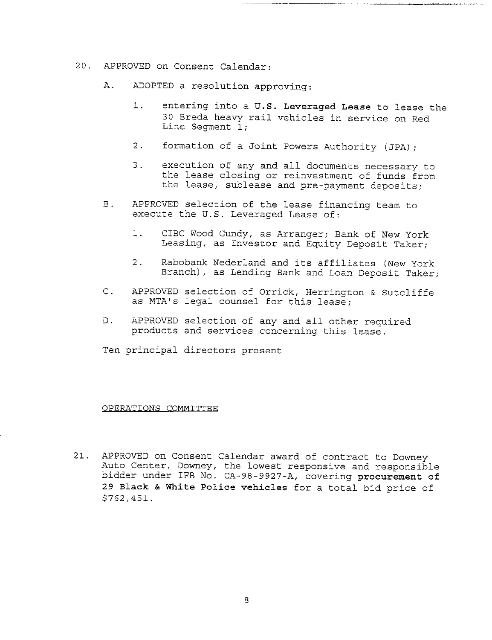- 20. ABPROVED on Consent Calendar:
	- A. ADOPTED a resolution approving:
		- entering into a U.S. Leveraged Lease to lease the  $1.$ 30 Breda heavy rail vehicles in service on Red Line Segment 1;
		- 2. formation of a Joint Powers Authority (JPA);
		- execution of any and all documents necessary to  $\overline{3}$ . the lease closing or reinvestment of funds from the lease, sublease and pre-payment deposits;
	- **B**. APPROVED selection of the lease financing team to execute the U.S. Leveraged Lease of:
		- $1.$ CIBC Wood Gundy, as Arranger; Bank of New York Leasing, as Investor and Equity Deposit Taker;
		- 2. Rabobank Nederland and its affiliates (New York: Branch), as Lending Bank and Loan Deposit Taker;
	- C. APPROVED selection of Orrick, Herrington & Sutcliffe as MTA's legal counsel for this lease;
	- D. APPROVED selection of any and all other required products and services concerning this lease.

Ten principal directors present

#### OPERATIONS COMMITTEE

21. APPROVED on Consent Calendar award of contract to Downey .Auto Center, Downey, the lowest responsive and responsible bidder under IFB No. CA-98-9927-A, covering procurement of 29 Black & White Police vehicles for a total bid price of \$762,45i.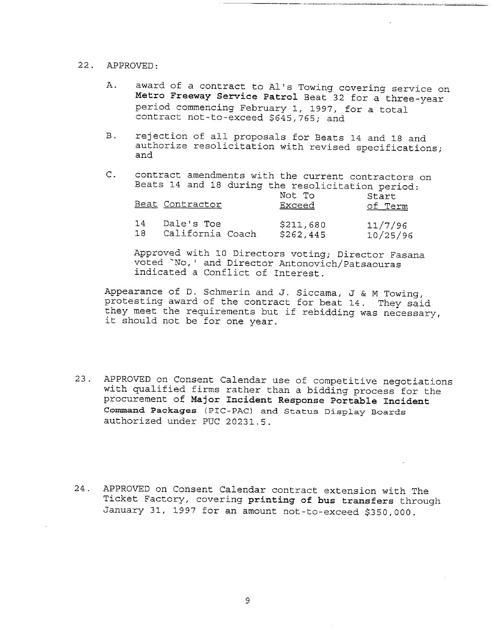# 22. APPROVED:

- A. award of a contract to Al's Towing covering service on **Metro Freeway Service Patrol** Beat 32 for a three-year period commencing February I, 1997, for a total contract not-to-exceed \$645,765; and
- B. rejection of all proposals for Beats 14 and 18 and authorize resolicitation with revised specifications; and
- C. contract amendments with the current contractors on Beats 14 and 18 during the resolicitation period:  $N \cap$   $\vdash$   $\Box$

|    | Beat Contractor  | NUL IU<br><b>Exceed</b> | Start<br>of Term |
|----|------------------|-------------------------|------------------|
| 14 | Dale's Toe       | \$211,680               | 11/7/96          |
| 18 | California Coach | \$262,445               | 10/25/96         |

Approved with i0 Directors voting; Director Easana voted "No,' and Director Antonovich/Patsaouras indicated a Conflict of Interest.

Appearance of D. Schmerin and J. Siccama, J & M Towing, protesting award of the contract for beat 14. They said they meet the requirements but if rebidding was necessary, it should not be for one year.

- 23. APPROVED on Consent Calendar use of competitive negotiations with qualified firms rather than a bidding process for the procurement of **Major Incident Response Portable Incident Command Packages** (PIC-PAC) and Status Display Boards authorized under PUC 20231.5.
- 24. APPROVED on Consent Calendar contract extension with The Ticket Eactory, covering printing of bus transfers through January 31, 1997 for an amount not-to-exceed \$350,000.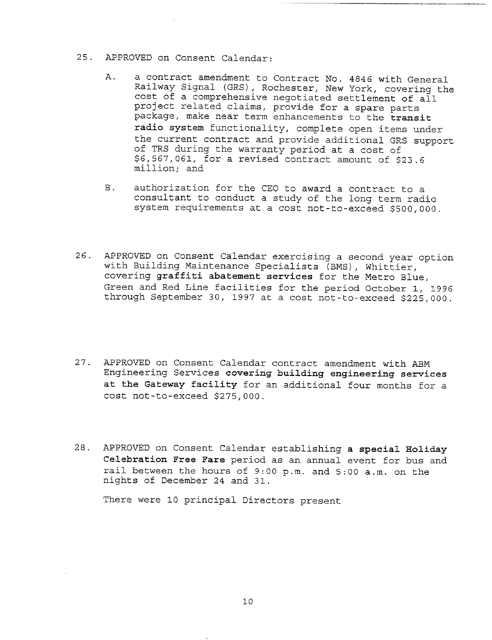## 25. APPROVED on Consent Calendar:

- a contract amendment to Contract No. 4846 with General Α. Railway Signal (GRS), Rochester, New York, covering the cost of a comprehensive negotiated settlement of all project related claims, provide for a spare parts package, make near term enhancements to the transit radio system functionality, complete open items under the current contract and provide additional GRS support of TRS during the warranty period at a cost of \$6,567,061, for a revised contract amount of \$23.6 million; and
- **B**. authorization for the CEO to award a contract to a consultant to conduct a study of the long term radio system requirements at a cost not-to-exceed \$500,000.
- 26. APPROVED on Consent Calendar exercising a second year option with Building Maintenance Specialists (BMS), Whittier, covering graffiti abatement services for the Metro Blue, Green and Red Line facilities for the period October i, 1996 through September 30, 1997 at a cost not-to-exceed \$225,000.
- 27. APPROVED on Consent Calendar contract amendment with ABM Engineering Services covering building engineering services at the Gateway facility for an additional four months for a cost not-to-exceed \$275,000.
- 28. APPROVED on Consent Calendar establishing a special Holiday Celebration Free Fare period as an annual event for bus and rail between the hours of 9:00 p.m. and 5:00 a.m. on the nights of December 24 and 31.

There were i0 principal Directors present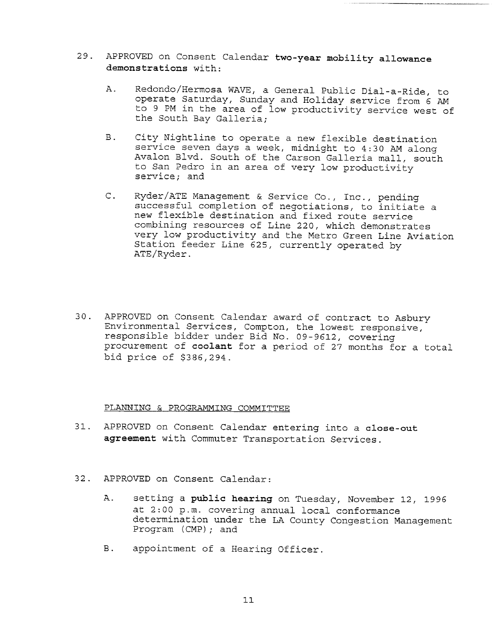- 29. APPROVED on Consent Calendar two-year mobility allowance demonstrations with:
	- A. Redondo/Hermosa WAVE, a General Public Dial-a-Ride, to operate Saturday, Sunday and Holiday service from 6 AM to 9 PM in the area of low productivity service west of the South Bay Galleria;
	- $B.$ City Nightline to operate a new flexible destination service seven days a week, midnight to 4:30 AM along Avalon Blvd. South of the Carson Galleria mall, south to San Pedro in an area of very low productivity service; and
	- Ryder/ATE Management & Service Co., Inc., pending  $\mathsf{C}$ . successful completion of negotiations, to initiate a new flexible destination and fixed route service combining resources of Line 220, which demonstrates very low productivity and the Metro Green Line Aviation Station feeder Line 625, currently operated by ATE/Ryder.
- 30. APPROVED on Consent Calendar award of contract to Asbury Environmental Services, Compton, the lowest responsive, responsible bidder under Bid No. 09-9612, covering procurement of coolant for a period of 27 months for a total bid price of \$386,294.

#### PLANNING & PROGRAMMING COMMITTEE

- 31. APPROVED on Consent Calendar entering into a **close-out** agreement with Commuter Transportation Services.
- 32. APPROVED on Consent Calendar:
	- A. setting a public hearing on Tuesday, November 12, 1996 at 2:00 p.m. covering annual local conformance determination under the LA County Congestion Management Program (CMP); and
	- B. appointment of a Hearing Officer.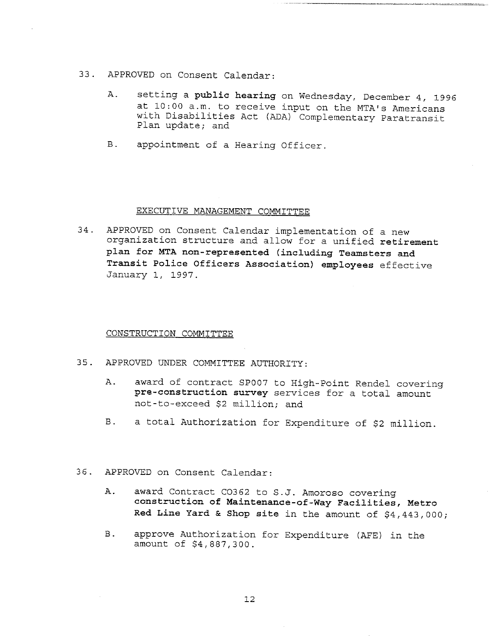- 33. APPROVED on Consent Calendar:
	- A. setting a public hearing on Wednesday, December 4, 1996 at i0:00 a.m. to receive input on the MTA's Americans with Disabilities Act (ADA) Complementary Paratransit Plan update; and
	- B. appointment of a Hearing Officer.

#### EXECUTIVE MANAGEMENT COMMITTEE

34. APPROVED on Consent Calendar implementation of a new organization structure and allow for a unified **retirement** plan for MTA non-represented (including **Teamsters and Transit Police Officers Association) employees** effective January i, 1997.

CONSTRUCTION COMMITTEE

- 35. APPROVED UNDER COMMITTEE AUTHORITY:
	- A. award of contract SP007 to High-Point Rendel covering **pre-construction** survey services for a total amount not-to-exceed \$2 million; and
	- B. a total Authorization for Expenditure of \$2 million.
- 36. APPROVED on Consent Calendar:
	- A. award Contract C0362 to S.J. Amoroso covering **construction of Maintenance-of-Way Facilities, Metro** Red Line Yard & Shop site in the amount of  $$4,443,000;$
	- B. approve Authorization for Expenditure (AFE) in the amount of \$4,887,300.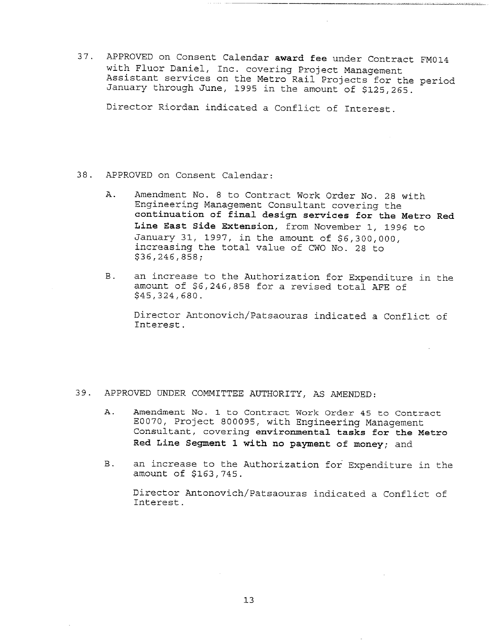37. APPROVED on Consent Calendar award fee under Contract FM014 with Fluor Daniel, Inc. covering Project Management Assistant services on the Metro Rail Projects for the period January through June, 1995 in the amount of \$125,265.

Director Riordan indicated a Conflict of Interest.

- 38. APPROVED on Consent Calendar:
	- Amendment No. 8 to Contract Work Order No. 28 with Α. Engineering Management Consultant covering the continuation of final design services for the Metro Red Line East Side Extension, from November i, 1996 to January 31, 1997, in the amount of \$6,300,000, increasing the total value of CWO No. 28 to \$36,246,858;
	- B. an increase to the Authorization for Expenditure in the amount of \$6,246,858 for a revised total AFE of \$45,324,680.

Director Antonovich/Patsaouras indicated a Conflict of Interest.

- 39. APPROVED UNDER COMMITTEE AUTHORITY, AS AMENDED:
	- Amendment No. 1 to Contract Work Order 45 to Contract A. E0070, Project 800095, with Engineering Management Consultant, covering environmental tasks for the Metro Red Line Segment 1 with no payment of money; and
	- **B**. an increase to the Authorization for Expenditure in the amount of \$163,745.

Director Antonovich/Patsaouras indicated a Conflict of Interest.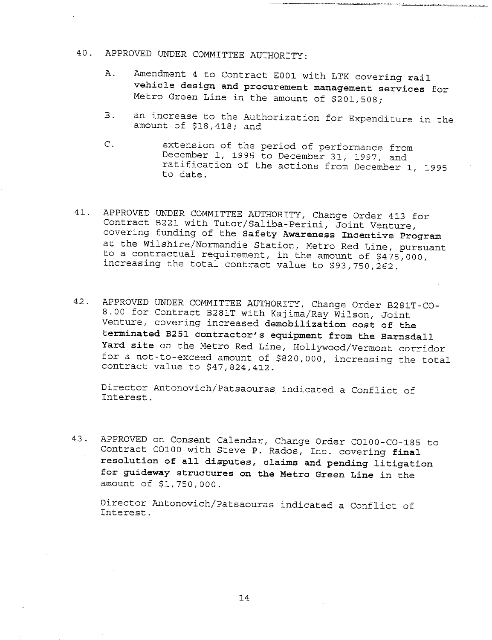# 40. APPROVED UNDER COMMITTEE AUTHORITY:

- A. Amendment 4 to Contract E001 with LTK covering rail vehicle design and procurement management services for Metro Green Line in the amount of \$201,508;
- $B.$ an increase to the Authorization for Expenditure in the amount of \$18,418; and
- C. extension of the period of performance from December I, 1995 to December 31, 1997, and ratification of the actions from December i, 1995 to date.
- 41. APPROVED UNDER COMMITTEE AUTHORITY, Change Order 413 for Contract B221 with Tutor/Saliba-Perini, Joint Venture, covering funding of the Safety Awareness Incentive Program at the Wilshire/Normandie Station, Metro Red Line, pursuant to a contractual requirement, in the amount of \$475,000, increasing the total contract value to \$93,750,262.
- 42. APPROVED UNDER COMMITTEE AUTHORITY, Change Order B281T-CO-8.00 for Contract B281T with Kajima/Ray Wilson, Joint Venture, covering increased demobilization cost of the terminated B251 contractor's equipment from the Barnsdall Yard site on the Metro Red Line, Hollywood/Vermont corridor for a not-to-exceed amount of \$820,000, increasing the total contract value to \$47,824,412.

Director Antonovich/Patsaouras indicated a Conflict of Interest.

43. APPROVED on Consent Calendar, Change Order CO100-CO-185 to Contract COl00 with Steve P. Rados, Inc. covering final resolution of all disputes, claims and pending litigation for guideway structures on the Metro Green Line in the amount of \$1,750,000.

Director Antonovich/Patsaouras indicated a Conflict of Interest.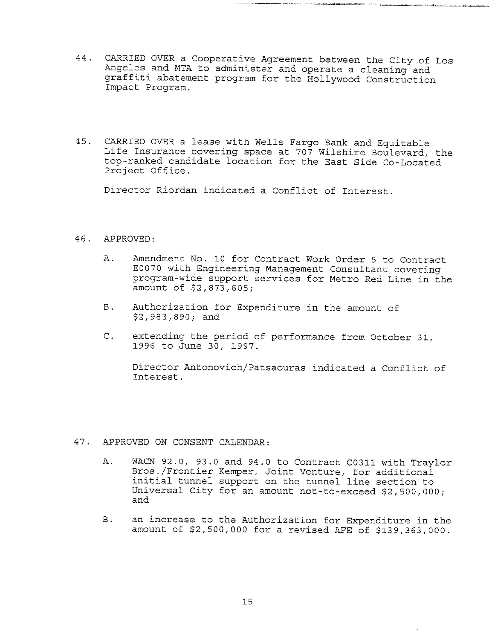44. CARRIED OVER a Cooperative Agreement between the City of Los Angeles and MTA to administer and operate a cleaning and graffiti abatement program for the Hollywood Construction Impact Program.

a iki wasal <u>habatan kata namao watu ya gaboto pi</u>o

45. CARRIED OVER a lease with Wells Fargo Bank and Equitable Life Insurance covering space at 707 Wilshire Boulevard, the top-ranked candidate location for the East Side Co-Located Project Office.

Director Riordan indicated a Conflict of Interest.

# 46. APPROVED:

- A. Amendment No. 10 for Contract Work Order 5 to Contract E0070 with Engineering Management Consultant covering program-wide support services for Metro Red Line in the amount of \$2,873,605;
- B. Authorization for Expenditure in the amount of \$2,983,890; and
- C. extending the period of performance from October 31, 1996 to June 30, 1997.

Director Antonovich/Patsaouras indicated a Conflict of interest.

# 47. APPROVED ON CONSENT CALENDAR:

- Α. WACN 92.0, 93.0 and 94.0 to Contract C0311 with Traylor Bros./Frontier Kemper, Joint Venture, for additional initial tunnel support on the tunnel line section to Universal City for an amount not-to-exceed \$2,500,000; and
- **B**. an increase to the Authorization for Expenditure in the amount of \$2,500,000 for a revised AFE of \$139,363,000.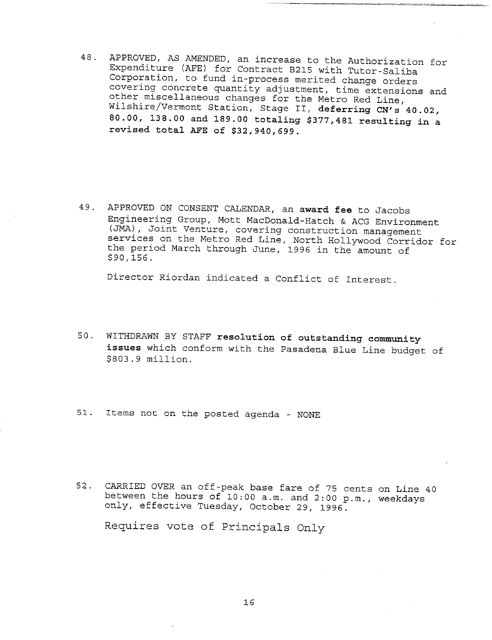48. APPROVED, AS AMENDED, an increase to the Authorization for Expenditure (AFE) for Contract B215 with Tutor-Saliba Corporation, to fund in-process merited change orders covering concrete quantity adjustment, time extensions and other miscellaneous changes for the Metro Red Line, Wilshire/Vermont Station, Stage II, deferring CN's 40.02, 80.00, 138.00 and 189.00 totaling \$377,481 resulting in a revised total AFE of \$32,940,699.

49. APPROVED ON CONSENT CALENDAR, an award fee to Jacobs Engineering Group, Mott MacDonald-Hatch & ACG Environment (JMA), Joint Venture, covering construction management services on the Metro Red Line, North Hollywood Corridor for the period March through June, 1996 in the amount of \$90,156.

Director Riordan indicated a Conflict of Interest.

- 50. WITHDRAWN BY STAFF resolution of outstanding community issues which conform with the Pasadena Blue Line budget of \$803.9 million.
- 51. Items not on the posted agenda NONE
- 52. CARRIED OVER an off-peak base fare of 75 cents on Line 40 between the hours of I0:00 a.m. and 2:00 p.m., weekdays only, effective Tuesday, October 29, 1996.

Requires vote of Principals Only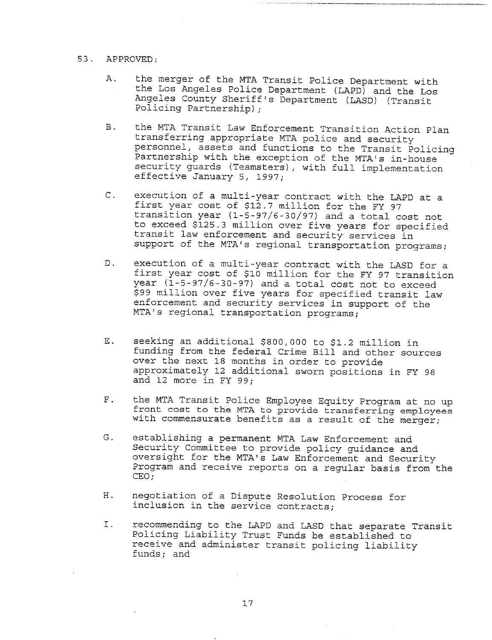# 53. APPROVED:

- A. the merger of the MTA Transit Police Department with the Los Angeles Police Department (LAPD) and the Los Angeles County Sheriff's Department (LASD) (Transit Policing Partnership);
- B. the MTA Transit Law Enforcement Transition Action Plan transferring appropriate MTA police and security personnel, assets and functions to the Transit Policing Partnership with the exception of the MTA's in-house security guards (Teamsters), with full implementation effective January 5, 1997;
- C. execution of a multi-year contract with the LAPD at a first year cost of \$12.7 million for the FY 97 transition year (1-5-97/6-30/97) and a total cost not to exceed \$125.3 million over five years for specified transit law enforcement and security services in support of the MTA's regional transportation programs;
- D. execution of a multi-year contract with the LASD for a first year cost of \$i0 million for the FY 97 transition year (1-5-97/6-30-97) and a total cost not to exceed \$99 million over five years for specified transit law enforcement and security services in support of the MTA's regional transportation programs;
- seeking an additional \$800,000 to \$1.2 million in Ε. funding from the federal Crime Bill and other sources over the next 18 months in order to provide approximately 12 additional sworn positions in FY 98 and 12 more in F¥ 99;
- $F<sub>1</sub>$ the MTA Transit Police Employee Equity Program at no up front cost to the MTA to provide transferring employees with commensurate benefits as a result of the merger;
- G. establishing a permanent MTA Law Enforcement and Security Committee to provide policy guidance and oversight for the MTA's Law Enforcement and Security Program and receive reports on a regular basis from the CEO;
- negotiation of a Dispute Resolution Process for Η. inclusion in the service contracts;
- I. recommending to the LAPD and LASD that separate Transit Policing Liability Trust Funds be established to receive and administer transit policing liability funds; and